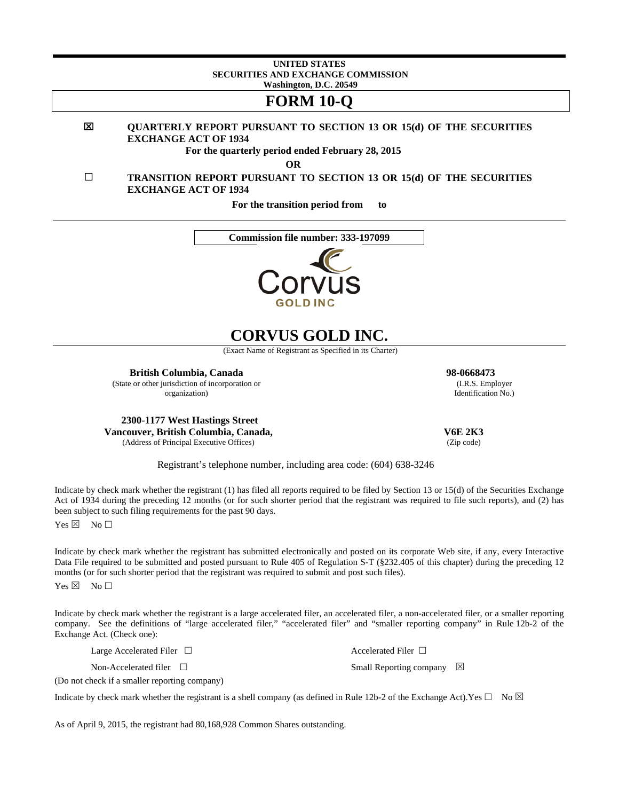#### **UNITED STATES SECURITIES AND EXCHANGE COMMISSION Washington, D.C. 20549**

## **FORM 10-Q**

#### 図 **QUARTERLY REPORT PURSUANT TO SECTION 13 OR 15(d) OF THE SECURITIES EXCHANGE ACT OF 1934**

**For the quarterly period ended February 28, 2015** 

**OR** 

 **TRANSITION REPORT PURSUANT TO SECTION 13 OR 15(d) OF THE SECURITIES EXCHANGE ACT OF 1934** 

**For the transition period from to** 





# **CORVUS GOLD INC.**

(Exact Name of Registrant as Specified in its Charter)

**British Columbia, Canada 98-0668473**  (State or other jurisdiction of incorporation or organization)

**2300-1177 West Hastings Street Vancouver, British Columbia, Canada,**  (Address of Principal Executive Offices)

 **V6E 2K3**  (Zip code)

 (I.R.S. Employer Identification No.)

Registrant's telephone number, including area code: (604) 638-3246

Indicate by check mark whether the registrant (1) has filed all reports required to be filed by Section 13 or 15(d) of the Securities Exchange Act of 1934 during the preceding 12 months (or for such shorter period that the registrant was required to file such reports), and (2) has been subject to such filing requirements for the past 90 days.

 $Yes \boxtimes No \Box$ 

Indicate by check mark whether the registrant has submitted electronically and posted on its corporate Web site, if any, every Interactive Data File required to be submitted and posted pursuant to Rule 405 of Regulation S-T (§232.405 of this chapter) during the preceding 12 months (or for such shorter period that the registrant was required to submit and post such files).

 $Yes \boxtimes No \Box$ 

Indicate by check mark whether the registrant is a large accelerated filer, an accelerated filer, a non-accelerated filer, or a smaller reporting company. See the definitions of "large accelerated filer," "accelerated filer" and "smaller reporting company" in Rule 12b-2 of the Exchange Act. (Check one):

Indicate by check mark whether the registrant is a shell company (as defined in Rule 12b-2 of the Exchange Act).Yes  $\Box$  No  $\boxtimes$ 

Large Accelerated Filer  $\Box$ 

Non-Accelerated filer □

(Do not check if a smaller reporting company)

Small Reporting company  $\boxtimes$ 

As of April 9, 2015, the registrant had 80,168,928 Common Shares outstanding.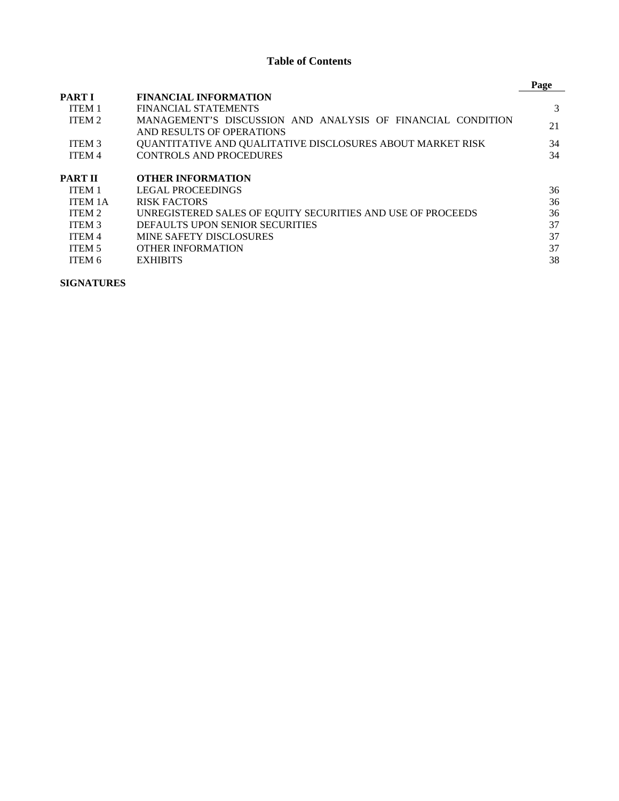## **Table of Contents**

|                   |                                                             | Page |
|-------------------|-------------------------------------------------------------|------|
| <b>PARTI</b>      | <b>FINANCIAL INFORMATION</b>                                |      |
| <b>ITEM1</b>      | FINANCIAL STATEMENTS                                        | 3    |
| ITEM 2            | MANAGEMENT'S DISCUSSION AND ANALYSIS OF FINANCIAL CONDITION | 21   |
|                   | AND RESULTS OF OPERATIONS                                   |      |
| ITEM <sub>3</sub> | QUANTITATIVE AND QUALITATIVE DISCLOSURES ABOUT MARKET RISK  | 34   |
| <b>ITEM 4</b>     | <b>CONTROLS AND PROCEDURES</b>                              | 34   |
| <b>PART II</b>    | <b>OTHER INFORMATION</b>                                    |      |
| ITEM <sub>1</sub> | <b>LEGAL PROCEEDINGS</b>                                    | 36   |
| <b>ITEM 1A</b>    | <b>RISK FACTORS</b>                                         | 36   |
| ITEM 2            | UNREGISTERED SALES OF EQUITY SECURITIES AND USE OF PROCEEDS | 36   |
| <b>ITEM 3</b>     | DEFAULTS UPON SENIOR SECURITIES                             | 37   |
| <b>ITEM 4</b>     | <b>MINE SAFETY DISCLOSURES</b>                              | 37   |
| ITEM 5            | <b>OTHER INFORMATION</b>                                    | 37   |
| ITEM 6            | <b>EXHIBITS</b>                                             | 38   |

**SIGNATURES**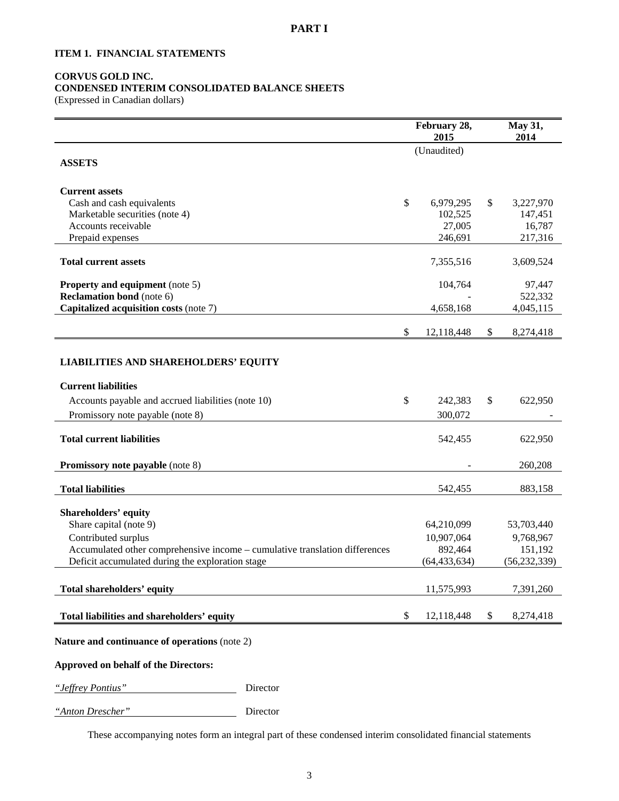## **ITEM 1. FINANCIAL STATEMENTS**

## **CORVUS GOLD INC.**

## **CONDENSED INTERIM CONSOLIDATED BALANCE SHEETS**

(Expressed in Canadian dollars)

|                                                                             | February 28,<br>2015 | May 31,<br>2014   |
|-----------------------------------------------------------------------------|----------------------|-------------------|
| <b>ASSETS</b>                                                               | (Unaudited)          |                   |
|                                                                             |                      |                   |
| <b>Current assets</b>                                                       |                      |                   |
| Cash and cash equivalents                                                   | \$<br>6,979,295      | \$<br>3,227,970   |
| Marketable securities (note 4)                                              | 102,525              | 147,451           |
| Accounts receivable<br>Prepaid expenses                                     | 27,005<br>246,691    | 16,787<br>217,316 |
|                                                                             |                      |                   |
| <b>Total current assets</b>                                                 | 7,355,516            | 3,609,524         |
| <b>Property and equipment</b> (note 5)                                      | 104,764              | 97,447            |
| <b>Reclamation bond</b> (note 6)                                            |                      | 522,332           |
| Capitalized acquisition costs (note 7)                                      | 4,658,168            | 4,045,115         |
|                                                                             | \$<br>12,118,448     | \$<br>8,274,418   |
|                                                                             |                      |                   |
| <b>LIABILITIES AND SHAREHOLDERS' EQUITY</b>                                 |                      |                   |
| <b>Current liabilities</b>                                                  |                      |                   |
| Accounts payable and accrued liabilities (note 10)                          | \$<br>242,383        | \$<br>622,950     |
| Promissory note payable (note 8)                                            | 300,072              |                   |
| <b>Total current liabilities</b>                                            | 542,455              | 622,950           |
|                                                                             |                      |                   |
| <b>Promissory note payable (note 8)</b>                                     |                      | 260,208           |
| <b>Total liabilities</b>                                                    | 542,455              | 883,158           |
| <b>Shareholders' equity</b>                                                 |                      |                   |
| Share capital (note 9)                                                      | 64,210,099           | 53,703,440        |
| Contributed surplus                                                         | 10,907,064           | 9,768,967         |
| Accumulated other comprehensive income - cumulative translation differences | 892,464              | 151,192           |
| Deficit accumulated during the exploration stage                            | (64, 433, 634)       | (56, 232, 339)    |
| Total shareholders' equity                                                  | 11,575,993           | 7,391,260         |
| Total liabilities and shareholders' equity                                  | \$<br>12,118,448     | \$<br>8,274,418   |
|                                                                             |                      |                   |
| Nature and continuance of operations (note 2)                               |                      |                   |
| Approved on behalf of the Directors:                                        |                      |                   |
| "Jeffrey Pontius"<br>Director                                               |                      |                   |

*"Anton Drescher"* Director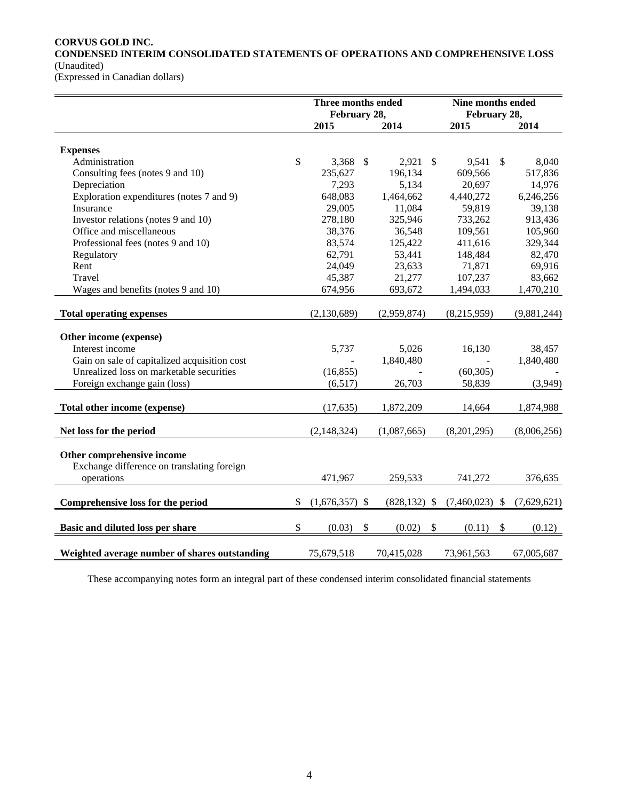## **CORVUS GOLD INC.**

**CONDENSED INTERIM CONSOLIDATED STATEMENTS OF OPERATIONS AND COMPREHENSIVE LOSS**  (Unaudited)

(Expressed in Canadian dollars)

|                                                                          | Three months ended<br>February 28, |                           |                 |                           | Nine months ended<br>February 28, |                           |             |
|--------------------------------------------------------------------------|------------------------------------|---------------------------|-----------------|---------------------------|-----------------------------------|---------------------------|-------------|
|                                                                          | 2015                               |                           | 2014            |                           | 2015                              |                           | 2014        |
|                                                                          |                                    |                           |                 |                           |                                   |                           |             |
| <b>Expenses</b>                                                          |                                    |                           |                 |                           |                                   |                           |             |
| Administration                                                           | \$<br>3,368                        | $\mathcal{S}$             | 2,921           | -\$                       | 9,541                             | $\mathbb{S}$              | 8,040       |
| Consulting fees (notes 9 and 10)                                         | 235,627                            |                           | 196,134         |                           | 609,566                           |                           | 517,836     |
| Depreciation                                                             | 7,293                              |                           | 5,134           |                           | 20,697                            |                           | 14,976      |
| Exploration expenditures (notes 7 and 9)                                 | 648,083                            |                           | 1,464,662       |                           | 4,440,272                         |                           | 6,246,256   |
| Insurance                                                                | 29,005                             |                           | 11,084          |                           | 59,819                            |                           | 39,138      |
| Investor relations (notes 9 and 10)                                      | 278,180                            |                           | 325,946         |                           | 733,262                           |                           | 913,436     |
| Office and miscellaneous                                                 | 38,376                             |                           | 36,548          |                           | 109,561                           |                           | 105,960     |
| Professional fees (notes 9 and 10)                                       | 83,574                             |                           | 125,422         |                           | 411,616                           |                           | 329,344     |
| Regulatory                                                               | 62,791                             |                           | 53,441          |                           | 148,484                           |                           | 82,470      |
| Rent                                                                     | 24,049                             |                           | 23,633          |                           | 71,871                            |                           | 69,916      |
| Travel                                                                   | 45,387                             |                           | 21,277          |                           | 107,237                           |                           | 83,662      |
| Wages and benefits (notes 9 and 10)                                      | 674,956                            |                           | 693,672         |                           | 1,494,033                         |                           | 1,470,210   |
| <b>Total operating expenses</b>                                          | (2,130,689)                        |                           | (2,959,874)     |                           | (8,215,959)                       |                           | (9,881,244) |
|                                                                          |                                    |                           |                 |                           |                                   |                           |             |
| Other income (expense)                                                   |                                    |                           |                 |                           |                                   |                           |             |
| Interest income                                                          | 5,737                              |                           | 5,026           |                           | 16,130                            |                           | 38,457      |
| Gain on sale of capitalized acquisition cost                             |                                    |                           | 1,840,480       |                           |                                   |                           | 1,840,480   |
| Unrealized loss on marketable securities                                 | (16, 855)                          |                           |                 |                           | (60, 305)                         |                           |             |
| Foreign exchange gain (loss)                                             | (6,517)                            |                           | 26,703          |                           | 58,839                            |                           | (3,949)     |
| Total other income (expense)                                             | (17, 635)                          |                           | 1,872,209       |                           | 14,664                            |                           | 1,874,988   |
|                                                                          |                                    |                           |                 |                           |                                   |                           |             |
| Net loss for the period                                                  | (2, 148, 324)                      |                           | (1,087,665)     |                           | (8,201,295)                       |                           | (8,006,256) |
| Other comprehensive income<br>Exchange difference on translating foreign |                                    |                           |                 |                           |                                   |                           |             |
| operations                                                               | 471,967                            |                           | 259,533         |                           | 741,272                           |                           | 376,635     |
|                                                                          |                                    |                           |                 |                           |                                   |                           |             |
| Comprehensive loss for the period                                        | \$<br>$(1,676,357)$ \$             |                           | $(828, 132)$ \$ |                           | $(7,460,023)$ \$                  |                           | (7,629,621) |
| Basic and diluted loss per share                                         | \$<br>(0.03)                       | $\boldsymbol{\mathsf{S}}$ | (0.02)          | $\boldsymbol{\mathsf{S}}$ | (0.11)                            | $\boldsymbol{\mathsf{S}}$ | (0.12)      |
|                                                                          |                                    |                           |                 |                           |                                   |                           |             |
| Weighted average number of shares outstanding                            | 75,679,518                         |                           | 70,415,028      |                           | 73,961,563                        |                           | 67,005,687  |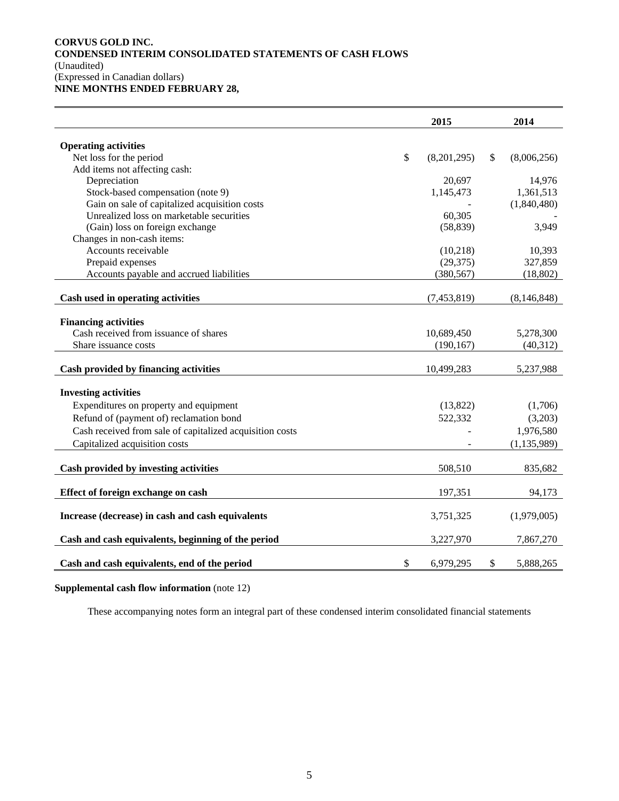## **CORVUS GOLD INC. CONDENSED INTERIM CONSOLIDATED STATEMENTS OF CASH FLOWS**  (Unaudited) (Expressed in Canadian dollars)

**NINE MONTHS ENDED FEBRUARY 28,** 

|                                                                      | 2015                     | 2014                   |
|----------------------------------------------------------------------|--------------------------|------------------------|
| <b>Operating activities</b>                                          |                          |                        |
| Net loss for the period                                              | \$<br>(8,201,295)        | \$<br>(8,006,256)      |
| Add items not affecting cash:                                        |                          |                        |
| Depreciation                                                         | 20,697                   | 14,976                 |
| Stock-based compensation (note 9)                                    | 1,145,473                | 1,361,513              |
| Gain on sale of capitalized acquisition costs                        |                          | (1,840,480)            |
| Unrealized loss on marketable securities                             | 60,305                   |                        |
| (Gain) loss on foreign exchange                                      | (58, 839)                | 3,949                  |
| Changes in non-cash items:                                           |                          |                        |
| Accounts receivable                                                  | (10,218)                 | 10,393                 |
| Prepaid expenses                                                     | (29, 375)                | 327,859                |
| Accounts payable and accrued liabilities                             | (380, 567)               | (18, 802)              |
|                                                                      |                          |                        |
| Cash used in operating activities                                    | (7, 453, 819)            | (8, 146, 848)          |
|                                                                      |                          |                        |
| <b>Financing activities</b><br>Cash received from issuance of shares |                          |                        |
| Share issuance costs                                                 | 10,689,450<br>(190, 167) | 5,278,300<br>(40, 312) |
|                                                                      |                          |                        |
| Cash provided by financing activities                                | 10,499,283               | 5,237,988              |
| <b>Investing activities</b>                                          |                          |                        |
|                                                                      |                          |                        |
| Expenditures on property and equipment                               | (13,822)                 | (1,706)                |
| Refund of (payment of) reclamation bond                              | 522,332                  | (3,203)                |
| Cash received from sale of capitalized acquisition costs             |                          | 1,976,580              |
| Capitalized acquisition costs                                        |                          | (1, 135, 989)          |
| Cash provided by investing activities                                | 508,510                  | 835,682                |
| Effect of foreign exchange on cash                                   | 197,351                  | 94,173                 |
| Increase (decrease) in cash and cash equivalents                     | 3,751,325                | (1,979,005)            |
| Cash and cash equivalents, beginning of the period                   | 3,227,970                | 7,867,270              |
| Cash and cash equivalents, end of the period                         | \$<br>6,979,295          | \$<br>5,888,265        |

## **Supplemental cash flow information** (note 12)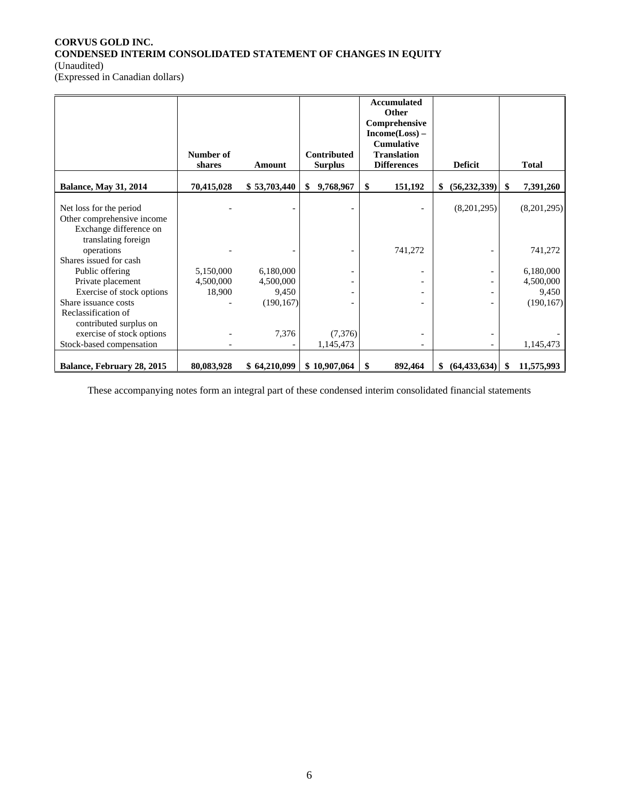## **CORVUS GOLD INC. CONDENSED INTERIM CONSOLIDATED STATEMENT OF CHANGES IN EQUITY**  (Unaudited)

(Expressed in Canadian dollars)

|                                                                                 |                     |                    |                                      | <b>Accumulated</b><br><b>Other</b><br>Comprehensive<br>Income(Loss) –<br><b>Cumulative</b> |                                                      |                    |
|---------------------------------------------------------------------------------|---------------------|--------------------|--------------------------------------|--------------------------------------------------------------------------------------------|------------------------------------------------------|--------------------|
|                                                                                 | Number of<br>shares | Amount             | <b>Contributed</b><br><b>Surplus</b> | <b>Translation</b><br><b>Differences</b>                                                   | <b>Deficit</b>                                       | <b>Total</b>       |
| <b>Balance, May 31, 2014</b>                                                    | 70,415,028          | \$53,703,440       | \$<br>9,768,967                      | \$<br>151,192                                                                              | \$<br>(56, 232, 339)                                 | \$<br>7,391,260    |
| Net loss for the period<br>Other comprehensive income<br>Exchange difference on |                     |                    |                                      |                                                                                            | (8,201,295)                                          | (8,201,295)        |
| translating foreign<br>operations<br>Shares issued for cash                     |                     |                    |                                      | 741,272                                                                                    |                                                      | 741,272            |
| Public offering                                                                 | 5,150,000           | 6,180,000          |                                      |                                                                                            |                                                      | 6,180,000          |
| Private placement<br>Exercise of stock options                                  | 4,500,000<br>18,900 | 4,500,000<br>9,450 |                                      |                                                                                            | $\overline{\phantom{0}}$<br>$\overline{\phantom{a}}$ | 4,500,000<br>9,450 |
| Share issuance costs<br>Reclassification of<br>contributed surplus on           |                     | (190, 167)         |                                      |                                                                                            |                                                      | (190, 167)         |
| exercise of stock options<br>Stock-based compensation                           |                     | 7,376              | (7,376)<br>1,145,473                 |                                                                                            |                                                      | 1,145,473          |
| Balance, February 28, 2015                                                      | 80,083,928          | \$64,210,099       | \$10,907,064                         | \$<br>892,464                                                                              | (64, 433, 634)<br>\$                                 | 11,575,993<br>\$.  |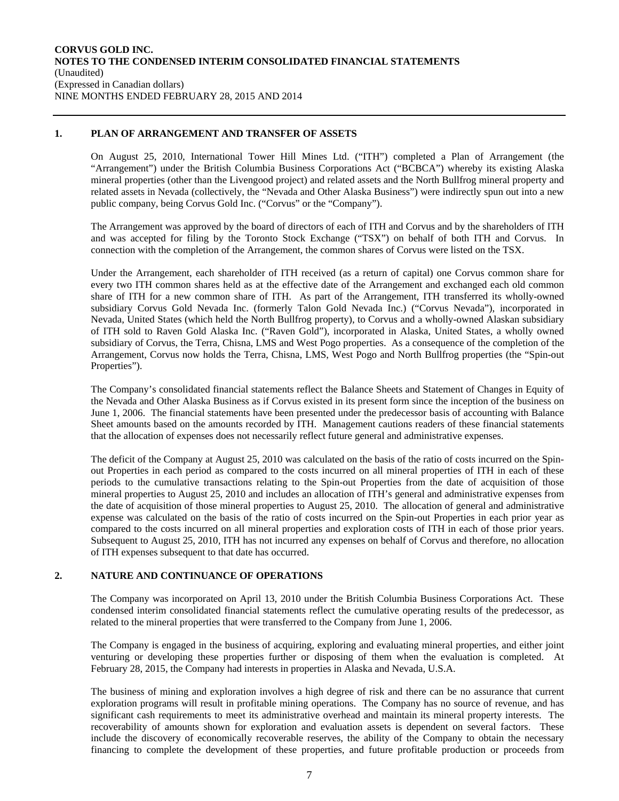## **1. PLAN OF ARRANGEMENT AND TRANSFER OF ASSETS**

On August 25, 2010, International Tower Hill Mines Ltd. ("ITH") completed a Plan of Arrangement (the "Arrangement") under the British Columbia Business Corporations Act ("BCBCA") whereby its existing Alaska mineral properties (other than the Livengood project) and related assets and the North Bullfrog mineral property and related assets in Nevada (collectively, the "Nevada and Other Alaska Business") were indirectly spun out into a new public company, being Corvus Gold Inc. ("Corvus" or the "Company").

The Arrangement was approved by the board of directors of each of ITH and Corvus and by the shareholders of ITH and was accepted for filing by the Toronto Stock Exchange ("TSX") on behalf of both ITH and Corvus. In connection with the completion of the Arrangement, the common shares of Corvus were listed on the TSX.

Under the Arrangement, each shareholder of ITH received (as a return of capital) one Corvus common share for every two ITH common shares held as at the effective date of the Arrangement and exchanged each old common share of ITH for a new common share of ITH. As part of the Arrangement, ITH transferred its wholly-owned subsidiary Corvus Gold Nevada Inc. (formerly Talon Gold Nevada Inc.) ("Corvus Nevada"), incorporated in Nevada, United States (which held the North Bullfrog property), to Corvus and a wholly-owned Alaskan subsidiary of ITH sold to Raven Gold Alaska Inc. ("Raven Gold"), incorporated in Alaska, United States, a wholly owned subsidiary of Corvus, the Terra, Chisna, LMS and West Pogo properties. As a consequence of the completion of the Arrangement, Corvus now holds the Terra, Chisna, LMS, West Pogo and North Bullfrog properties (the "Spin-out Properties").

The Company's consolidated financial statements reflect the Balance Sheets and Statement of Changes in Equity of the Nevada and Other Alaska Business as if Corvus existed in its present form since the inception of the business on June 1, 2006. The financial statements have been presented under the predecessor basis of accounting with Balance Sheet amounts based on the amounts recorded by ITH. Management cautions readers of these financial statements that the allocation of expenses does not necessarily reflect future general and administrative expenses.

The deficit of the Company at August 25, 2010 was calculated on the basis of the ratio of costs incurred on the Spinout Properties in each period as compared to the costs incurred on all mineral properties of ITH in each of these periods to the cumulative transactions relating to the Spin-out Properties from the date of acquisition of those mineral properties to August 25, 2010 and includes an allocation of ITH's general and administrative expenses from the date of acquisition of those mineral properties to August 25, 2010. The allocation of general and administrative expense was calculated on the basis of the ratio of costs incurred on the Spin-out Properties in each prior year as compared to the costs incurred on all mineral properties and exploration costs of ITH in each of those prior years. Subsequent to August 25, 2010, ITH has not incurred any expenses on behalf of Corvus and therefore, no allocation of ITH expenses subsequent to that date has occurred.

## **2. NATURE AND CONTINUANCE OF OPERATIONS**

The Company was incorporated on April 13, 2010 under the British Columbia Business Corporations Act. These condensed interim consolidated financial statements reflect the cumulative operating results of the predecessor, as related to the mineral properties that were transferred to the Company from June 1, 2006.

The Company is engaged in the business of acquiring, exploring and evaluating mineral properties, and either joint venturing or developing these properties further or disposing of them when the evaluation is completed. At February 28, 2015, the Company had interests in properties in Alaska and Nevada, U.S.A.

The business of mining and exploration involves a high degree of risk and there can be no assurance that current exploration programs will result in profitable mining operations. The Company has no source of revenue, and has significant cash requirements to meet its administrative overhead and maintain its mineral property interests. The recoverability of amounts shown for exploration and evaluation assets is dependent on several factors. These include the discovery of economically recoverable reserves, the ability of the Company to obtain the necessary financing to complete the development of these properties, and future profitable production or proceeds from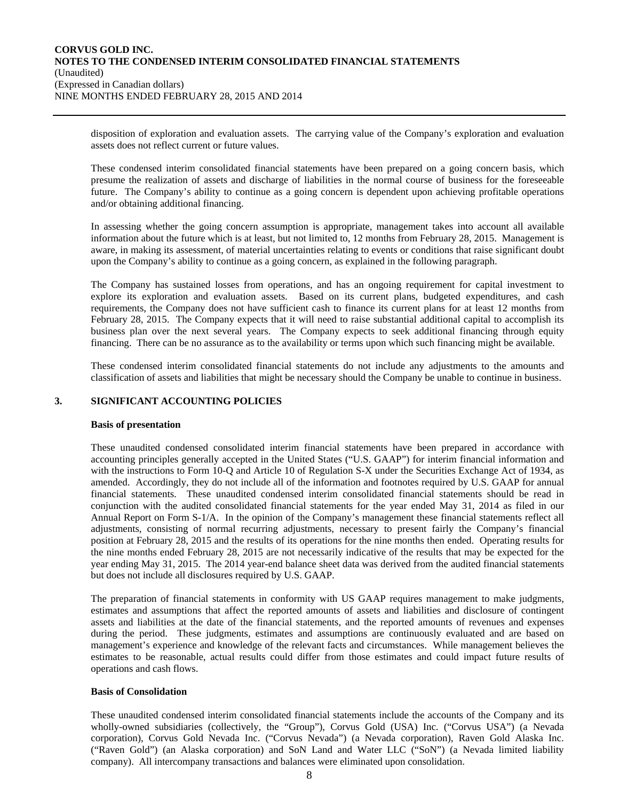disposition of exploration and evaluation assets. The carrying value of the Company's exploration and evaluation assets does not reflect current or future values.

These condensed interim consolidated financial statements have been prepared on a going concern basis, which presume the realization of assets and discharge of liabilities in the normal course of business for the foreseeable future. The Company's ability to continue as a going concern is dependent upon achieving profitable operations and/or obtaining additional financing.

In assessing whether the going concern assumption is appropriate, management takes into account all available information about the future which is at least, but not limited to, 12 months from February 28, 2015. Management is aware, in making its assessment, of material uncertainties relating to events or conditions that raise significant doubt upon the Company's ability to continue as a going concern, as explained in the following paragraph.

The Company has sustained losses from operations, and has an ongoing requirement for capital investment to explore its exploration and evaluation assets. Based on its current plans, budgeted expenditures, and cash requirements, the Company does not have sufficient cash to finance its current plans for at least 12 months from February 28, 2015. The Company expects that it will need to raise substantial additional capital to accomplish its business plan over the next several years. The Company expects to seek additional financing through equity financing. There can be no assurance as to the availability or terms upon which such financing might be available.

These condensed interim consolidated financial statements do not include any adjustments to the amounts and classification of assets and liabilities that might be necessary should the Company be unable to continue in business.

## **3. SIGNIFICANT ACCOUNTING POLICIES**

#### **Basis of presentation**

These unaudited condensed consolidated interim financial statements have been prepared in accordance with accounting principles generally accepted in the United States ("U.S. GAAP") for interim financial information and with the instructions to Form 10-Q and Article 10 of Regulation S-X under the Securities Exchange Act of 1934, as amended. Accordingly, they do not include all of the information and footnotes required by U.S. GAAP for annual financial statements. These unaudited condensed interim consolidated financial statements should be read in conjunction with the audited consolidated financial statements for the year ended May 31, 2014 as filed in our Annual Report on Form S-1/A. In the opinion of the Company's management these financial statements reflect all adjustments, consisting of normal recurring adjustments, necessary to present fairly the Company's financial position at February 28, 2015 and the results of its operations for the nine months then ended. Operating results for the nine months ended February 28, 2015 are not necessarily indicative of the results that may be expected for the year ending May 31, 2015. The 2014 year-end balance sheet data was derived from the audited financial statements but does not include all disclosures required by U.S. GAAP.

The preparation of financial statements in conformity with US GAAP requires management to make judgments, estimates and assumptions that affect the reported amounts of assets and liabilities and disclosure of contingent assets and liabilities at the date of the financial statements, and the reported amounts of revenues and expenses during the period. These judgments, estimates and assumptions are continuously evaluated and are based on management's experience and knowledge of the relevant facts and circumstances. While management believes the estimates to be reasonable, actual results could differ from those estimates and could impact future results of operations and cash flows.

#### **Basis of Consolidation**

These unaudited condensed interim consolidated financial statements include the accounts of the Company and its wholly-owned subsidiaries (collectively, the "Group"), Corvus Gold (USA) Inc. ("Corvus USA") (a Nevada corporation), Corvus Gold Nevada Inc. ("Corvus Nevada") (a Nevada corporation), Raven Gold Alaska Inc. ("Raven Gold") (an Alaska corporation) and SoN Land and Water LLC ("SoN") (a Nevada limited liability company). All intercompany transactions and balances were eliminated upon consolidation.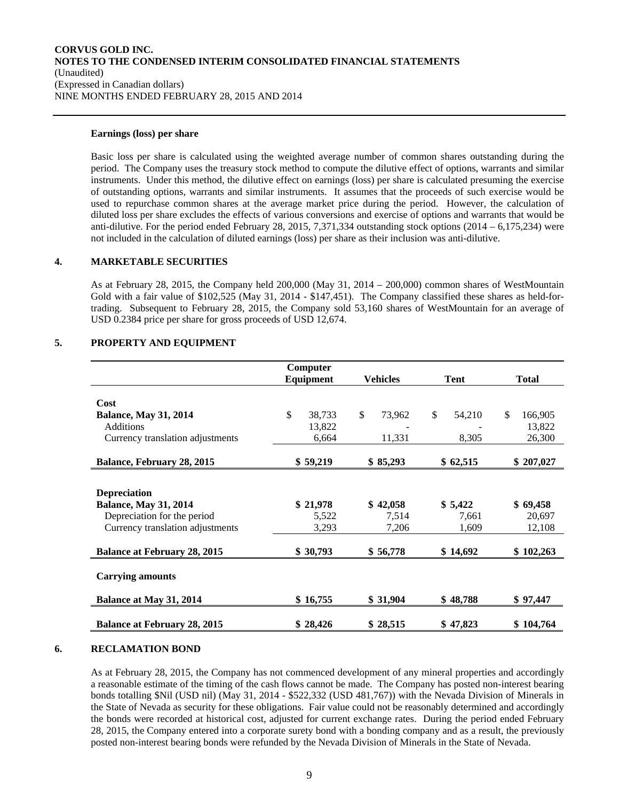#### **Earnings (loss) per share**

Basic loss per share is calculated using the weighted average number of common shares outstanding during the period. The Company uses the treasury stock method to compute the dilutive effect of options, warrants and similar instruments. Under this method, the dilutive effect on earnings (loss) per share is calculated presuming the exercise of outstanding options, warrants and similar instruments. It assumes that the proceeds of such exercise would be used to repurchase common shares at the average market price during the period. However, the calculation of diluted loss per share excludes the effects of various conversions and exercise of options and warrants that would be anti-dilutive. For the period ended February 28, 2015, 7,371,334 outstanding stock options  $(2014 - 6,175,234)$  were not included in the calculation of diluted earnings (loss) per share as their inclusion was anti-dilutive.

#### **4. MARKETABLE SECURITIES**

As at February 28, 2015, the Company held 200,000 (May 31, 2014 – 200,000) common shares of WestMountain Gold with a fair value of \$102,525 (May 31, 2014 - \$147,451). The Company classified these shares as held-fortrading. Subsequent to February 28, 2015, the Company sold 53,160 shares of WestMountain for an average of USD 0.2384 price per share for gross proceeds of USD 12,674.

## **5. PROPERTY AND EQUIPMENT**

|                                     | Computer     |              |              |               |
|-------------------------------------|--------------|--------------|--------------|---------------|
|                                     | Equipment    | Vehicles     | Tent         | <b>Total</b>  |
|                                     |              |              |              |               |
| Cost                                |              |              |              |               |
| <b>Balance, May 31, 2014</b>        | \$<br>38,733 | \$<br>73,962 | \$<br>54,210 | \$<br>166,905 |
| Additions                           | 13,822       |              |              | 13,822        |
| Currency translation adjustments    | 6,664        | 11,331       | 8,305        | 26,300        |
|                                     |              |              |              |               |
| Balance, February 28, 2015          | \$59,219     | \$85,293     | \$62,515     | \$207,027     |
|                                     |              |              |              |               |
| <b>Depreciation</b>                 |              |              |              |               |
| <b>Balance, May 31, 2014</b>        | \$21,978     | \$42,058     | \$5,422      | \$69,458      |
| Depreciation for the period         | 5,522        | 7,514        | 7,661        | 20,697        |
| Currency translation adjustments    | 3,293        | 7,206        | 1,609        | 12,108        |
|                                     |              |              |              |               |
| <b>Balance at February 28, 2015</b> | \$30,793     | \$56,778     | \$14,692     | \$102,263     |
|                                     |              |              |              |               |
| <b>Carrying amounts</b>             |              |              |              |               |
| Balance at May 31, 2014             | \$16,755     | \$31,904     | \$48,788     | \$97,447      |
|                                     |              |              |              |               |
| <b>Balance at February 28, 2015</b> | \$28,426     | \$28,515     | \$47,823     | \$104,764     |

#### **6. RECLAMATION BOND**

As at February 28, 2015, the Company has not commenced development of any mineral properties and accordingly a reasonable estimate of the timing of the cash flows cannot be made. The Company has posted non-interest bearing bonds totalling \$Nil (USD nil) (May 31, 2014 - \$522,332 (USD 481,767)) with the Nevada Division of Minerals in the State of Nevada as security for these obligations. Fair value could not be reasonably determined and accordingly the bonds were recorded at historical cost, adjusted for current exchange rates. During the period ended February 28, 2015, the Company entered into a corporate surety bond with a bonding company and as a result, the previously posted non-interest bearing bonds were refunded by the Nevada Division of Minerals in the State of Nevada.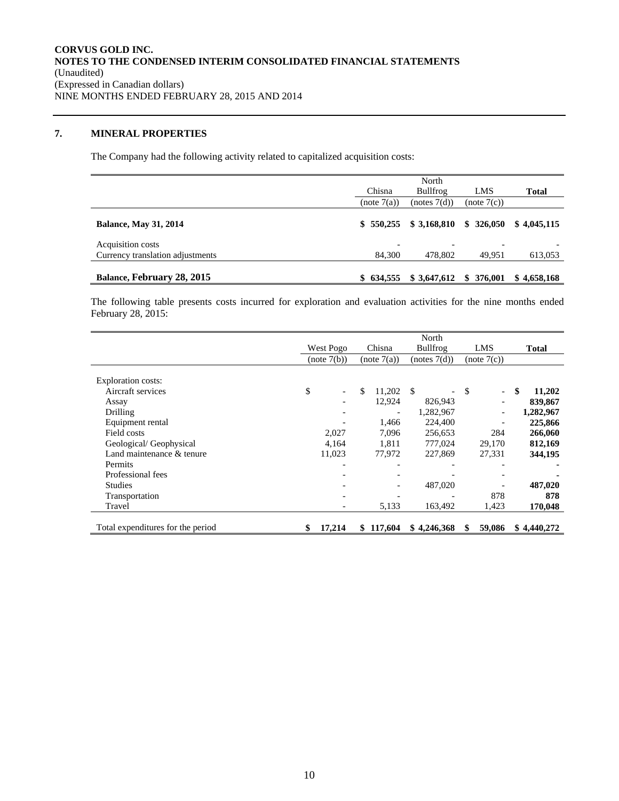## **7. MINERAL PROPERTIES**

The Company had the following activity related to capitalized acquisition costs:

|                                  | Chisna         | North<br><b>Bullfrog</b> | LMS         | <b>Total</b> |
|----------------------------------|----------------|--------------------------|-------------|--------------|
|                                  | (note 7(a))    | (notes 7(d))             | (note 7(c)) |              |
| <b>Balance, May 31, 2014</b>     | \$550.255      | \$3,168,810              | \$326.050   | \$4.045.115  |
| Acquisition costs                | $\overline{a}$ | $\overline{\phantom{0}}$ | ۰           |              |
| Currency translation adjustments | 84,300         | 478,802                  | 49,951      | 613,053      |
| Balance, February 28, 2015       | \$634.555      | \$3,647,612              | \$376,001   | \$4,658,168  |

The following table presents costs incurred for exploration and evaluation activities for the nine months ended February 28, 2015:

|                                   | North     |                          |    |             |               |                 |     |                          |    |              |
|-----------------------------------|-----------|--------------------------|----|-------------|---------------|-----------------|-----|--------------------------|----|--------------|
|                                   | West Pogo |                          |    | Chisna      | Bullfrog      |                 | LMS |                          |    | <b>Total</b> |
|                                   |           | (note 7(b))              |    | (note 7(a)) | (notes 7(d))  |                 |     | (note 7(c))              |    |              |
|                                   |           |                          |    |             |               |                 |     |                          |    |              |
| Exploration costs:                |           |                          |    |             |               |                 |     |                          |    |              |
| Aircraft services                 | \$        | $\overline{\phantom{a}}$ | \$ | 11,202      | <sup>\$</sup> | $\qquad \qquad$ | \$  | $\overline{\phantom{a}}$ | \$ | 11,202       |
| Assay                             |           |                          |    | 12,924      | 826,943       |                 |     |                          |    | 839,867      |
| Drilling                          |           |                          |    |             | 1,282,967     |                 |     |                          |    | 1,282,967    |
| Equipment rental                  |           |                          |    | 1,466       | 224,400       |                 |     |                          |    | 225,866      |
| Field costs                       |           | 2,027                    |    | 7,096       | 256,653       |                 |     | 284                      |    | 266,060      |
| Geological/Geophysical            |           | 4,164                    |    | 1,811       | 777,024       |                 |     | 29,170                   |    | 812,169      |
| Land maintenance & tenure         |           | 11,023                   |    | 77,972      | 227,869       |                 |     | 27,331                   |    | 344,195      |
| Permits                           |           |                          |    |             |               |                 |     |                          |    |              |
| Professional fees                 |           |                          |    |             |               |                 |     |                          |    |              |
| <b>Studies</b>                    |           |                          |    |             | 487,020       |                 |     |                          |    | 487,020      |
| Transportation                    |           |                          |    |             |               |                 |     | 878                      |    | 878          |
| Travel                            |           | $\overline{\phantom{a}}$ |    | 5,133       | 163,492       |                 |     | 1,423                    |    | 170,048      |
|                                   |           |                          |    |             |               |                 |     |                          |    |              |
| Total expenditures for the period | \$        | 17,214                   | \$ | 117,604     | \$4,246,368   |                 | S   | 59,086                   |    | \$4,440,272  |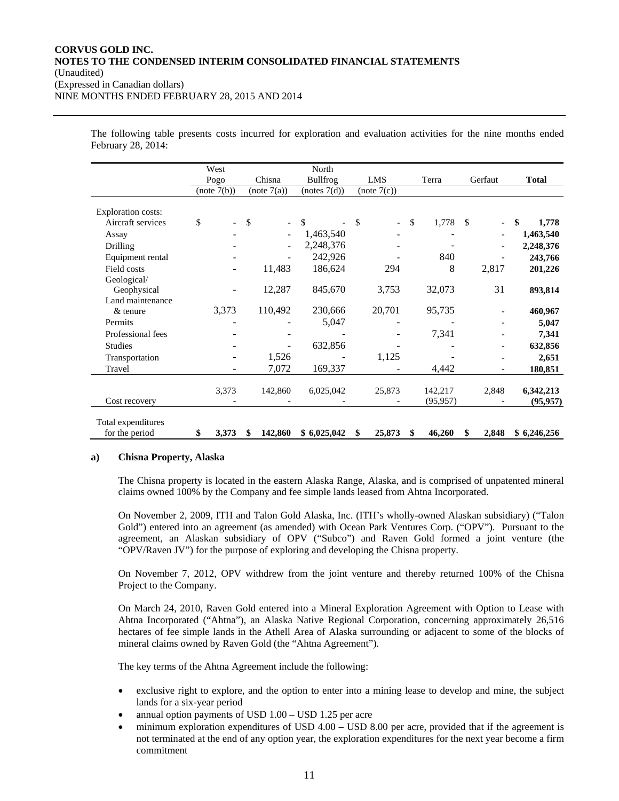The following table presents costs incurred for exploration and evaluation activities for the nine months ended February 28, 2014:

|                           | West        |               |                          | North           |       |                                |              |               |                          |              |
|---------------------------|-------------|---------------|--------------------------|-----------------|-------|--------------------------------|--------------|---------------|--------------------------|--------------|
|                           | Pogo        |               | Chisna                   | <b>Bullfrog</b> |       | LMS                            | Terra        |               | Gerfaut                  | <b>Total</b> |
|                           | (note 7(b)) |               | (note 7(a))              | (notes 7(d))    |       | (note 7(c))                    |              |               |                          |              |
|                           |             |               |                          |                 |       |                                |              |               |                          |              |
| <b>Exploration costs:</b> |             |               |                          |                 |       |                                |              |               |                          |              |
| Aircraft services         | \$          | $\mathcal{S}$ | $\overline{\phantom{0}}$ | \$              |       | \$<br>$\overline{\phantom{0}}$ | \$<br>1,778  | <sup>\$</sup> | $\overline{\phantom{a}}$ | \$<br>1,778  |
| Assay                     |             |               |                          | 1,463,540       |       |                                |              |               |                          | 1,463,540    |
| Drilling                  |             |               |                          | 2,248,376       |       |                                |              |               |                          | 2,248,376    |
| Equipment rental          |             |               |                          | 242,926         |       |                                | 840          |               |                          | 243,766      |
| Field costs               |             |               | 11,483                   | 186,624         |       | 294                            | 8            |               | 2,817                    | 201,226      |
| Geological/               |             |               |                          |                 |       |                                |              |               |                          |              |
| Geophysical               |             |               | 12,287                   | 845,670         |       | 3,753                          | 32,073       |               | 31                       | 893,814      |
| Land maintenance          |             |               |                          |                 |       |                                |              |               |                          |              |
| $&$ tenure                | 3,373       |               | 110,492                  | 230,666         |       | 20,701                         | 95,735       |               |                          | 460,967      |
| Permits                   |             |               |                          |                 | 5,047 |                                |              |               |                          | 5,047        |
| Professional fees         |             |               |                          |                 |       |                                | 7,341        |               |                          | 7,341        |
| <b>Studies</b>            |             |               |                          | 632,856         |       |                                |              |               |                          | 632,856      |
| Transportation            |             |               | 1,526                    |                 |       | 1,125                          |              |               |                          | 2,651        |
| Travel                    |             |               | 7,072                    | 169,337         |       |                                | 4,442        |               |                          | 180,851      |
|                           |             |               |                          |                 |       |                                |              |               |                          |              |
|                           | 3,373       |               | 142,860                  | 6,025,042       |       | 25,873                         | 142,217      |               | 2,848                    | 6,342,213    |
| Cost recovery             |             |               |                          |                 |       |                                | (95, 957)    |               |                          | (95, 957)    |
|                           |             |               |                          |                 |       |                                |              |               |                          |              |
| Total expenditures        |             |               |                          |                 |       |                                |              |               |                          |              |
| for the period            | \$<br>3,373 |               | 142,860                  | \$6,025,042     |       | \$<br>25,873                   | \$<br>46,260 | S             | 2,848                    | \$6,246,256  |

#### **a) Chisna Property, Alaska**

The Chisna property is located in the eastern Alaska Range, Alaska, and is comprised of unpatented mineral claims owned 100% by the Company and fee simple lands leased from Ahtna Incorporated.

On November 2, 2009, ITH and Talon Gold Alaska, Inc. (ITH's wholly-owned Alaskan subsidiary) ("Talon Gold") entered into an agreement (as amended) with Ocean Park Ventures Corp. ("OPV"). Pursuant to the agreement, an Alaskan subsidiary of OPV ("Subco") and Raven Gold formed a joint venture (the "OPV/Raven JV") for the purpose of exploring and developing the Chisna property.

On November 7, 2012, OPV withdrew from the joint venture and thereby returned 100% of the Chisna Project to the Company.

On March 24, 2010, Raven Gold entered into a Mineral Exploration Agreement with Option to Lease with Ahtna Incorporated ("Ahtna"), an Alaska Native Regional Corporation, concerning approximately 26,516 hectares of fee simple lands in the Athell Area of Alaska surrounding or adjacent to some of the blocks of mineral claims owned by Raven Gold (the "Ahtna Agreement").

The key terms of the Ahtna Agreement include the following:

- exclusive right to explore, and the option to enter into a mining lease to develop and mine, the subject lands for a six-year period
- annual option payments of USD 1.00 USD 1.25 per acre
- minimum exploration expenditures of USD 4.00 USD 8.00 per acre, provided that if the agreement is not terminated at the end of any option year, the exploration expenditures for the next year become a firm commitment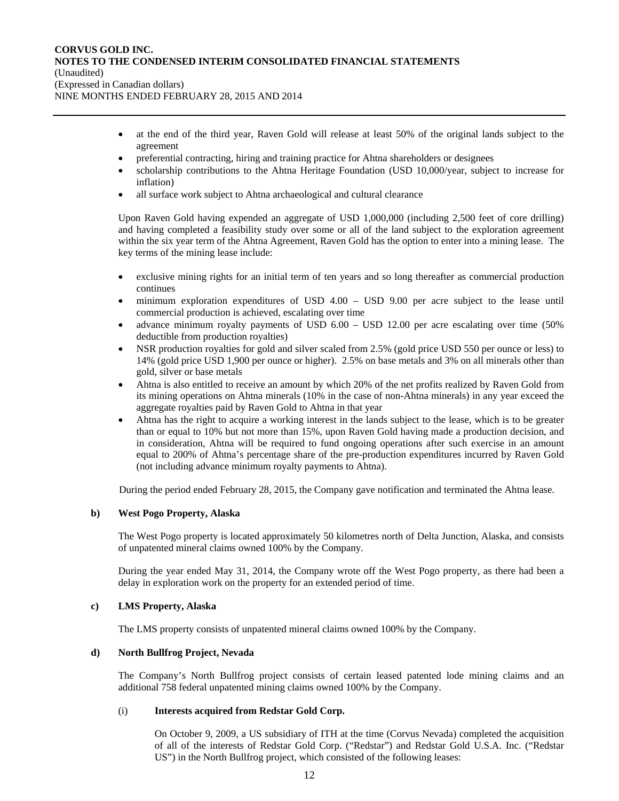- at the end of the third year, Raven Gold will release at least 50% of the original lands subject to the agreement
- preferential contracting, hiring and training practice for Ahtna shareholders or designees
- scholarship contributions to the Ahtna Heritage Foundation (USD 10,000/year, subject to increase for inflation)
- all surface work subject to Ahtna archaeological and cultural clearance

Upon Raven Gold having expended an aggregate of USD 1,000,000 (including 2,500 feet of core drilling) and having completed a feasibility study over some or all of the land subject to the exploration agreement within the six year term of the Ahtna Agreement, Raven Gold has the option to enter into a mining lease. The key terms of the mining lease include:

- exclusive mining rights for an initial term of ten years and so long thereafter as commercial production continues
- minimum exploration expenditures of USD 4.00 USD 9.00 per acre subject to the lease until commercial production is achieved, escalating over time
- advance minimum royalty payments of USD 6.00 USD 12.00 per acre escalating over time (50% deductible from production royalties)
- NSR production royalties for gold and silver scaled from 2.5% (gold price USD 550 per ounce or less) to 14% (gold price USD 1,900 per ounce or higher). 2.5% on base metals and 3% on all minerals other than gold, silver or base metals
- Ahtna is also entitled to receive an amount by which 20% of the net profits realized by Raven Gold from its mining operations on Ahtna minerals (10% in the case of non-Ahtna minerals) in any year exceed the aggregate royalties paid by Raven Gold to Ahtna in that year
- Ahtna has the right to acquire a working interest in the lands subject to the lease, which is to be greater than or equal to 10% but not more than 15%, upon Raven Gold having made a production decision, and in consideration, Ahtna will be required to fund ongoing operations after such exercise in an amount equal to 200% of Ahtna's percentage share of the pre-production expenditures incurred by Raven Gold (not including advance minimum royalty payments to Ahtna).

During the period ended February 28, 2015, the Company gave notification and terminated the Ahtna lease.

#### **b) West Pogo Property, Alaska**

The West Pogo property is located approximately 50 kilometres north of Delta Junction, Alaska, and consists of unpatented mineral claims owned 100% by the Company.

During the year ended May 31, 2014, the Company wrote off the West Pogo property, as there had been a delay in exploration work on the property for an extended period of time.

## **c) LMS Property, Alaska**

The LMS property consists of unpatented mineral claims owned 100% by the Company.

## **d) North Bullfrog Project, Nevada**

The Company's North Bullfrog project consists of certain leased patented lode mining claims and an additional 758 federal unpatented mining claims owned 100% by the Company.

#### (i) **Interests acquired from Redstar Gold Corp.**

On October 9, 2009, a US subsidiary of ITH at the time (Corvus Nevada) completed the acquisition of all of the interests of Redstar Gold Corp. ("Redstar") and Redstar Gold U.S.A. Inc. ("Redstar US") in the North Bullfrog project, which consisted of the following leases: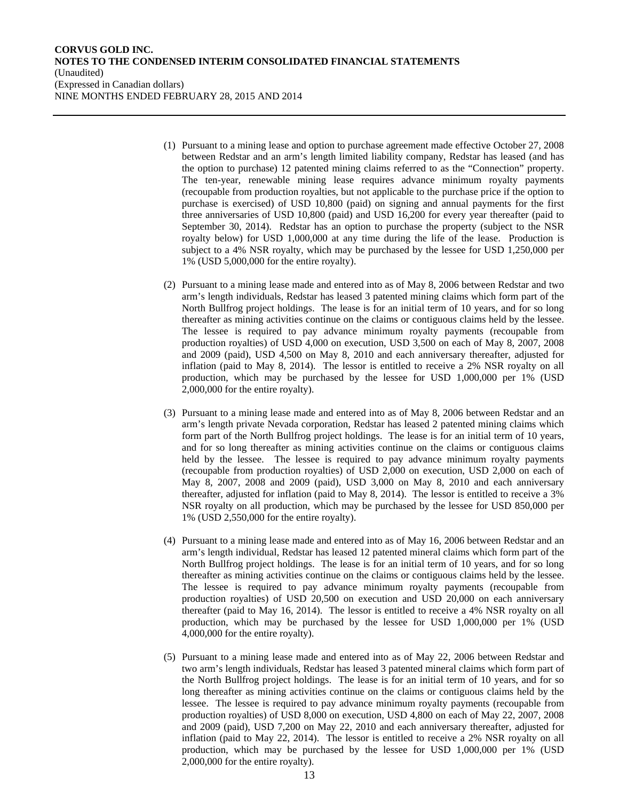- (1) Pursuant to a mining lease and option to purchase agreement made effective October 27, 2008 between Redstar and an arm's length limited liability company, Redstar has leased (and has the option to purchase) 12 patented mining claims referred to as the "Connection" property. The ten-year, renewable mining lease requires advance minimum royalty payments (recoupable from production royalties, but not applicable to the purchase price if the option to purchase is exercised) of USD 10,800 (paid) on signing and annual payments for the first three anniversaries of USD 10,800 (paid) and USD 16,200 for every year thereafter (paid to September 30, 2014). Redstar has an option to purchase the property (subject to the NSR royalty below) for USD 1,000,000 at any time during the life of the lease. Production is subject to a 4% NSR royalty, which may be purchased by the lessee for USD 1,250,000 per 1% (USD 5,000,000 for the entire royalty).
- (2) Pursuant to a mining lease made and entered into as of May 8, 2006 between Redstar and two arm's length individuals, Redstar has leased 3 patented mining claims which form part of the North Bullfrog project holdings. The lease is for an initial term of 10 years, and for so long thereafter as mining activities continue on the claims or contiguous claims held by the lessee. The lessee is required to pay advance minimum royalty payments (recoupable from production royalties) of USD 4,000 on execution, USD 3,500 on each of May 8, 2007, 2008 and 2009 (paid), USD 4,500 on May 8, 2010 and each anniversary thereafter, adjusted for inflation (paid to May 8, 2014). The lessor is entitled to receive a 2% NSR royalty on all production, which may be purchased by the lessee for USD 1,000,000 per 1% (USD 2,000,000 for the entire royalty).
- (3) Pursuant to a mining lease made and entered into as of May 8, 2006 between Redstar and an arm's length private Nevada corporation, Redstar has leased 2 patented mining claims which form part of the North Bullfrog project holdings. The lease is for an initial term of 10 years, and for so long thereafter as mining activities continue on the claims or contiguous claims held by the lessee. The lessee is required to pay advance minimum royalty payments (recoupable from production royalties) of USD 2,000 on execution, USD 2,000 on each of May 8, 2007, 2008 and 2009 (paid), USD 3,000 on May 8, 2010 and each anniversary thereafter, adjusted for inflation (paid to May 8, 2014). The lessor is entitled to receive a 3% NSR royalty on all production, which may be purchased by the lessee for USD 850,000 per 1% (USD 2,550,000 for the entire royalty).
- (4) Pursuant to a mining lease made and entered into as of May 16, 2006 between Redstar and an arm's length individual, Redstar has leased 12 patented mineral claims which form part of the North Bullfrog project holdings. The lease is for an initial term of 10 years, and for so long thereafter as mining activities continue on the claims or contiguous claims held by the lessee. The lessee is required to pay advance minimum royalty payments (recoupable from production royalties) of USD 20,500 on execution and USD 20,000 on each anniversary thereafter (paid to May 16, 2014). The lessor is entitled to receive a 4% NSR royalty on all production, which may be purchased by the lessee for USD 1,000,000 per 1% (USD 4,000,000 for the entire royalty).
- (5) Pursuant to a mining lease made and entered into as of May 22, 2006 between Redstar and two arm's length individuals, Redstar has leased 3 patented mineral claims which form part of the North Bullfrog project holdings. The lease is for an initial term of 10 years, and for so long thereafter as mining activities continue on the claims or contiguous claims held by the lessee. The lessee is required to pay advance minimum royalty payments (recoupable from production royalties) of USD 8,000 on execution, USD 4,800 on each of May 22, 2007, 2008 and 2009 (paid), USD 7,200 on May 22, 2010 and each anniversary thereafter, adjusted for inflation (paid to May 22, 2014). The lessor is entitled to receive a 2% NSR royalty on all production, which may be purchased by the lessee for USD 1,000,000 per 1% (USD 2,000,000 for the entire royalty).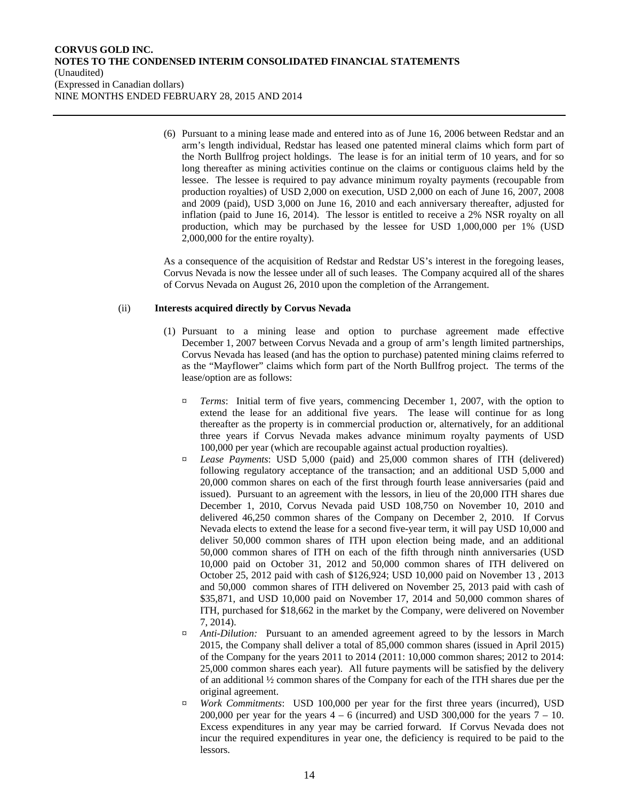(6) Pursuant to a mining lease made and entered into as of June 16, 2006 between Redstar and an arm's length individual, Redstar has leased one patented mineral claims which form part of the North Bullfrog project holdings. The lease is for an initial term of 10 years, and for so long thereafter as mining activities continue on the claims or contiguous claims held by the lessee. The lessee is required to pay advance minimum royalty payments (recoupable from production royalties) of USD 2,000 on execution, USD 2,000 on each of June 16, 2007, 2008 and 2009 (paid), USD 3,000 on June 16, 2010 and each anniversary thereafter, adjusted for inflation (paid to June 16, 2014). The lessor is entitled to receive a 2% NSR royalty on all production, which may be purchased by the lessee for USD 1,000,000 per 1% (USD 2,000,000 for the entire royalty).

As a consequence of the acquisition of Redstar and Redstar US's interest in the foregoing leases, Corvus Nevada is now the lessee under all of such leases. The Company acquired all of the shares of Corvus Nevada on August 26, 2010 upon the completion of the Arrangement.

#### (ii) **Interests acquired directly by Corvus Nevada**

- (1) Pursuant to a mining lease and option to purchase agreement made effective December 1, 2007 between Corvus Nevada and a group of arm's length limited partnerships, Corvus Nevada has leased (and has the option to purchase) patented mining claims referred to as the "Mayflower" claims which form part of the North Bullfrog project. The terms of the lease/option are as follows:
	- ¤ *Terms*: Initial term of five years, commencing December 1, 2007, with the option to extend the lease for an additional five years. The lease will continue for as long thereafter as the property is in commercial production or, alternatively, for an additional three years if Corvus Nevada makes advance minimum royalty payments of USD 100,000 per year (which are recoupable against actual production royalties).
	- ¤ *Lease Payments*: USD 5,000 (paid) and 25,000 common shares of ITH (delivered) following regulatory acceptance of the transaction; and an additional USD 5,000 and 20,000 common shares on each of the first through fourth lease anniversaries (paid and issued). Pursuant to an agreement with the lessors, in lieu of the 20,000 ITH shares due December 1, 2010, Corvus Nevada paid USD 108,750 on November 10, 2010 and delivered 46,250 common shares of the Company on December 2, 2010. If Corvus Nevada elects to extend the lease for a second five-year term, it will pay USD 10,000 and deliver 50,000 common shares of ITH upon election being made, and an additional 50,000 common shares of ITH on each of the fifth through ninth anniversaries (USD 10,000 paid on October 31, 2012 and 50,000 common shares of ITH delivered on October 25, 2012 paid with cash of \$126,924; USD 10,000 paid on November 13 , 2013 and 50,000 common shares of ITH delivered on November 25, 2013 paid with cash of \$35,871, and USD 10,000 paid on November 17, 2014 and 50,000 common shares of ITH, purchased for \$18,662 in the market by the Company, were delivered on November 7, 2014).
	- ¤ *Anti-Dilution:* Pursuant to an amended agreement agreed to by the lessors in March 2015, the Company shall deliver a total of 85,000 common shares (issued in April 2015) of the Company for the years 2011 to 2014 (2011: 10,000 common shares; 2012 to 2014: 25,000 common shares each year). All future payments will be satisfied by the delivery of an additional ½ common shares of the Company for each of the ITH shares due per the original agreement.
	- ¤ *Work Commitments*: USD 100,000 per year for the first three years (incurred), USD 200,000 per year for the years  $4 - 6$  (incurred) and USD 300,000 for the years  $7 - 10$ . Excess expenditures in any year may be carried forward. If Corvus Nevada does not incur the required expenditures in year one, the deficiency is required to be paid to the lessors.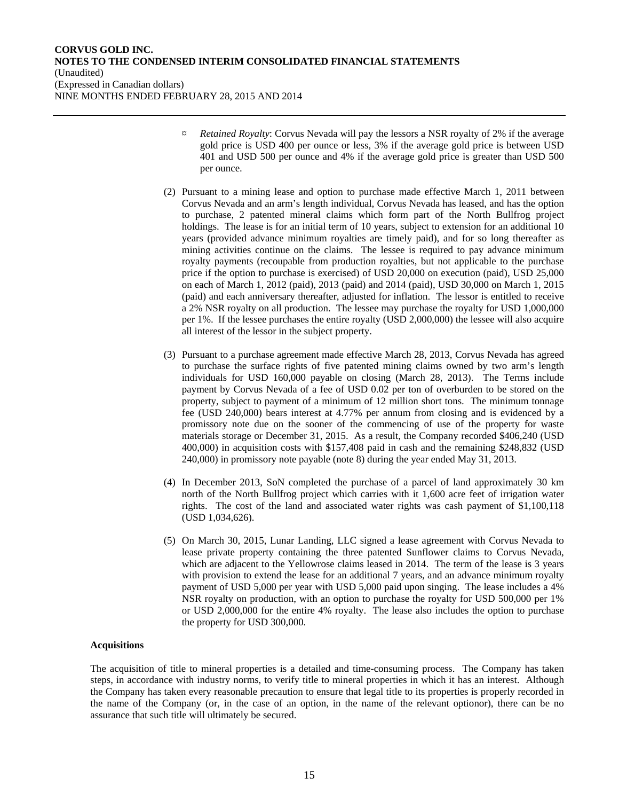- ¤ *Retained Royalty*: Corvus Nevada will pay the lessors a NSR royalty of 2% if the average gold price is USD 400 per ounce or less, 3% if the average gold price is between USD 401 and USD 500 per ounce and 4% if the average gold price is greater than USD 500 per ounce.
- (2) Pursuant to a mining lease and option to purchase made effective March 1, 2011 between Corvus Nevada and an arm's length individual, Corvus Nevada has leased, and has the option to purchase, 2 patented mineral claims which form part of the North Bullfrog project holdings. The lease is for an initial term of 10 years, subject to extension for an additional 10 years (provided advance minimum royalties are timely paid), and for so long thereafter as mining activities continue on the claims. The lessee is required to pay advance minimum royalty payments (recoupable from production royalties, but not applicable to the purchase price if the option to purchase is exercised) of USD 20,000 on execution (paid), USD 25,000 on each of March 1, 2012 (paid), 2013 (paid) and 2014 (paid), USD 30,000 on March 1, 2015 (paid) and each anniversary thereafter, adjusted for inflation. The lessor is entitled to receive a 2% NSR royalty on all production. The lessee may purchase the royalty for USD 1,000,000 per 1%. If the lessee purchases the entire royalty (USD 2,000,000) the lessee will also acquire all interest of the lessor in the subject property.
- (3) Pursuant to a purchase agreement made effective March 28, 2013, Corvus Nevada has agreed to purchase the surface rights of five patented mining claims owned by two arm's length individuals for USD 160,000 payable on closing (March 28, 2013). The Terms include payment by Corvus Nevada of a fee of USD 0.02 per ton of overburden to be stored on the property, subject to payment of a minimum of 12 million short tons. The minimum tonnage fee (USD 240,000) bears interest at 4.77% per annum from closing and is evidenced by a promissory note due on the sooner of the commencing of use of the property for waste materials storage or December 31, 2015. As a result, the Company recorded \$406,240 (USD 400,000) in acquisition costs with \$157,408 paid in cash and the remaining \$248,832 (USD 240,000) in promissory note payable (note 8) during the year ended May 31, 2013.
- (4) In December 2013, SoN completed the purchase of a parcel of land approximately 30 km north of the North Bullfrog project which carries with it 1,600 acre feet of irrigation water rights. The cost of the land and associated water rights was cash payment of \$1,100,118 (USD 1,034,626).
- (5) On March 30, 2015, Lunar Landing, LLC signed a lease agreement with Corvus Nevada to lease private property containing the three patented Sunflower claims to Corvus Nevada, which are adjacent to the Yellowrose claims leased in 2014. The term of the lease is 3 years with provision to extend the lease for an additional 7 years, and an advance minimum royalty payment of USD 5,000 per year with USD 5,000 paid upon singing. The lease includes a 4% NSR royalty on production, with an option to purchase the royalty for USD 500,000 per 1% or USD 2,000,000 for the entire 4% royalty. The lease also includes the option to purchase the property for USD 300,000.

#### **Acquisitions**

The acquisition of title to mineral properties is a detailed and time-consuming process. The Company has taken steps, in accordance with industry norms, to verify title to mineral properties in which it has an interest. Although the Company has taken every reasonable precaution to ensure that legal title to its properties is properly recorded in the name of the Company (or, in the case of an option, in the name of the relevant optionor), there can be no assurance that such title will ultimately be secured.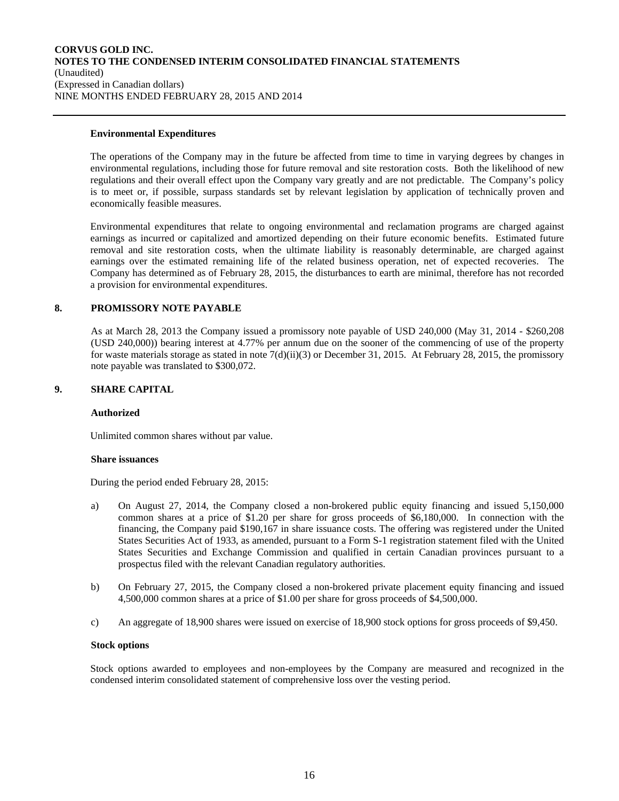#### **Environmental Expenditures**

The operations of the Company may in the future be affected from time to time in varying degrees by changes in environmental regulations, including those for future removal and site restoration costs. Both the likelihood of new regulations and their overall effect upon the Company vary greatly and are not predictable. The Company's policy is to meet or, if possible, surpass standards set by relevant legislation by application of technically proven and economically feasible measures.

Environmental expenditures that relate to ongoing environmental and reclamation programs are charged against earnings as incurred or capitalized and amortized depending on their future economic benefits. Estimated future removal and site restoration costs, when the ultimate liability is reasonably determinable, are charged against earnings over the estimated remaining life of the related business operation, net of expected recoveries. The Company has determined as of February 28, 2015, the disturbances to earth are minimal, therefore has not recorded a provision for environmental expenditures.

## **8. PROMISSORY NOTE PAYABLE**

As at March 28, 2013 the Company issued a promissory note payable of USD 240,000 (May 31, 2014 - \$260,208 (USD 240,000)) bearing interest at 4.77% per annum due on the sooner of the commencing of use of the property for waste materials storage as stated in note  $7(d)(ii)(3)$  or December 31, 2015. At February 28, 2015, the promissory note payable was translated to \$300,072.

#### **9. SHARE CAPITAL**

#### **Authorized**

Unlimited common shares without par value.

#### **Share issuances**

During the period ended February 28, 2015:

- a) On August 27, 2014, the Company closed a non-brokered public equity financing and issued 5,150,000 common shares at a price of \$1.20 per share for gross proceeds of \$6,180,000. In connection with the financing, the Company paid \$190,167 in share issuance costs. The offering was registered under the United States Securities Act of 1933, as amended, pursuant to a Form S-1 registration statement filed with the United States Securities and Exchange Commission and qualified in certain Canadian provinces pursuant to a prospectus filed with the relevant Canadian regulatory authorities.
- b) On February 27, 2015, the Company closed a non-brokered private placement equity financing and issued 4,500,000 common shares at a price of \$1.00 per share for gross proceeds of \$4,500,000.
- c) An aggregate of 18,900 shares were issued on exercise of 18,900 stock options for gross proceeds of \$9,450.

#### **Stock options**

Stock options awarded to employees and non-employees by the Company are measured and recognized in the condensed interim consolidated statement of comprehensive loss over the vesting period.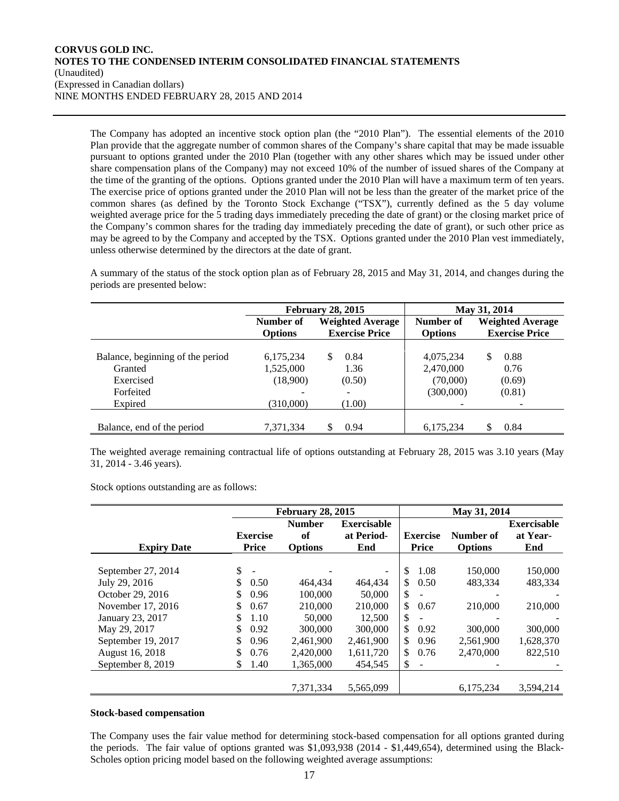The Company has adopted an incentive stock option plan (the "2010 Plan"). The essential elements of the 2010 Plan provide that the aggregate number of common shares of the Company's share capital that may be made issuable pursuant to options granted under the 2010 Plan (together with any other shares which may be issued under other share compensation plans of the Company) may not exceed 10% of the number of issued shares of the Company at the time of the granting of the options. Options granted under the 2010 Plan will have a maximum term of ten years. The exercise price of options granted under the 2010 Plan will not be less than the greater of the market price of the common shares (as defined by the Toronto Stock Exchange ("TSX"), currently defined as the 5 day volume weighted average price for the 5 trading days immediately preceding the date of grant) or the closing market price of the Company's common shares for the trading day immediately preceding the date of grant), or such other price as may be agreed to by the Company and accepted by the TSX. Options granted under the 2010 Plan vest immediately, unless otherwise determined by the directors at the date of grant.

A summary of the status of the stock option plan as of February 28, 2015 and May 31, 2014, and changes during the periods are presented below:

|                                  |                | <b>February 28, 2015</b>                         |                | May 31, 2014                                     |
|----------------------------------|----------------|--------------------------------------------------|----------------|--------------------------------------------------|
|                                  | Number of      | <b>Weighted Average</b><br><b>Exercise Price</b> | Number of      | <b>Weighted Average</b><br><b>Exercise Price</b> |
|                                  | <b>Options</b> |                                                  | <b>Options</b> |                                                  |
| Balance, beginning of the period | 6,175,234      | 0.84<br>S                                        | 4,075,234      | 0.88<br>\$.                                      |
| Granted                          | 1,525,000      | 1.36                                             | 2,470,000      | 0.76                                             |
| Exercised                        | (18,900)       | (0.50)                                           | (70,000)       | (0.69)                                           |
| Forfeited                        |                |                                                  | (300,000)      | (0.81)                                           |
| Expired                          | (310,000)      | (1.00)                                           |                |                                                  |
|                                  |                |                                                  |                |                                                  |
| Balance, end of the period       | 7,371,334      | 0.94                                             | 6,175,234      | 0.84                                             |

The weighted average remaining contractual life of options outstanding at February 28, 2015 was 3.10 years (May 31, 2014 - 3.46 years).

Stock options outstanding are as follows:

|                    |     |                 | <b>February 28, 2015</b> | May 31, 2014       |                 |                |                    |
|--------------------|-----|-----------------|--------------------------|--------------------|-----------------|----------------|--------------------|
|                    |     |                 | <b>Number</b>            | <b>Exercisable</b> |                 |                | <b>Exercisable</b> |
|                    |     | <b>Exercise</b> | of                       | at Period-         | <b>Exercise</b> | Number of      | at Year-           |
| <b>Expiry Date</b> |     | <b>Price</b>    | <b>Options</b>           | End                | <b>Price</b>    | <b>Options</b> | End                |
|                    |     |                 |                          |                    |                 |                |                    |
| September 27, 2014 | \$. | ÷               |                          | $\blacksquare$     | \$<br>1.08      | 150,000        | 150,000            |
| July 29, 2016      |     | 0.50            | 464.434                  | 464.434            | \$<br>0.50      | 483.334        | 483.334            |
| October 29, 2016   |     | 0.96            | 100,000                  | 50,000             | \$              |                |                    |
| November 17, 2016  | \$  | 0.67            | 210,000                  | 210,000            | \$<br>0.67      | 210,000        | 210,000            |
| January 23, 2017   |     | 1.10            | 50,000                   | 12,500             | \$              |                |                    |
| May 29, 2017       | S   | 0.92            | 300,000                  | 300,000            | \$<br>0.92      | 300,000        | 300,000            |
| September 19, 2017 | S   | 0.96            | 2,461,900                | 2,461,900          | \$<br>0.96      | 2,561,900      | 1,628,370          |
| August 16, 2018    |     | 0.76            | 2,420,000                | 1,611,720          | \$<br>0.76      | 2,470,000      | 822,510            |
| September 8, 2019  | S.  | 1.40            | 1,365,000                | 454,545            | \$              |                |                    |
|                    |     |                 |                          |                    |                 |                |                    |
|                    |     |                 | 7,371,334                | 5,565,099          |                 | 6,175,234      | 3,594,214          |

#### **Stock-based compensation**

The Company uses the fair value method for determining stock-based compensation for all options granted during the periods. The fair value of options granted was \$1,093,938 (2014 - \$1,449,654), determined using the Black-Scholes option pricing model based on the following weighted average assumptions: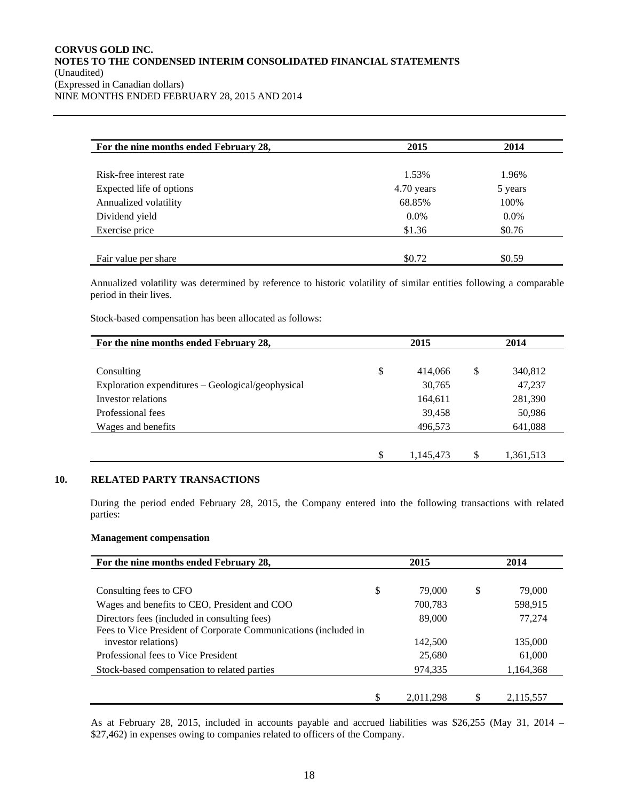| For the nine months ended February 28, | 2015       | 2014    |
|----------------------------------------|------------|---------|
| Risk-free interest rate                | 1.53%      | 1.96%   |
| Expected life of options               | 4.70 years | 5 years |
| Annualized volatility                  | 68.85%     | 100%    |
| Dividend yield                         | $0.0\%$    | $0.0\%$ |
| Exercise price                         | \$1.36     | \$0.76  |
|                                        |            |         |
| Fair value per share                   | \$0.72     | \$0.59  |

Annualized volatility was determined by reference to historic volatility of similar entities following a comparable period in their lives.

Stock-based compensation has been allocated as follows:

| For the nine months ended February 28,            | 2015 |           | 2014            |  |
|---------------------------------------------------|------|-----------|-----------------|--|
| Consulting                                        | \$   | 414,066   | \$<br>340,812   |  |
| Exploration expenditures – Geological/geophysical |      | 30,765    | 47,237          |  |
| Investor relations                                |      | 164,611   | 281,390         |  |
| Professional fees                                 |      | 39,458    | 50,986          |  |
| Wages and benefits                                |      | 496,573   | 641,088         |  |
|                                                   |      |           |                 |  |
|                                                   | \$   | 1.145.473 | \$<br>1,361,513 |  |

## **10. RELATED PARTY TRANSACTIONS**

During the period ended February 28, 2015, the Company entered into the following transactions with related parties:

#### **Management compensation**

| For the nine months ended February 28,                          | 2015 |           | 2014 |           |
|-----------------------------------------------------------------|------|-----------|------|-----------|
|                                                                 |      |           |      |           |
| Consulting fees to CFO                                          | \$   | 79,000    | \$   | 79,000    |
| Wages and benefits to CEO, President and COO                    |      | 700,783   |      | 598,915   |
| Directors fees (included in consulting fees)                    |      | 89,000    |      | 77,274    |
| Fees to Vice President of Corporate Communications (included in |      |           |      |           |
| investor relations)                                             |      | 142,500   |      | 135,000   |
| Professional fees to Vice President                             |      | 25,680    |      | 61,000    |
| Stock-based compensation to related parties                     |      | 974,335   |      | 1,164,368 |
|                                                                 |      |           |      |           |
|                                                                 | S    | 2.011.298 |      | 2.115.557 |

As at February 28, 2015, included in accounts payable and accrued liabilities was \$26,255 (May 31, 2014 – \$27,462) in expenses owing to companies related to officers of the Company.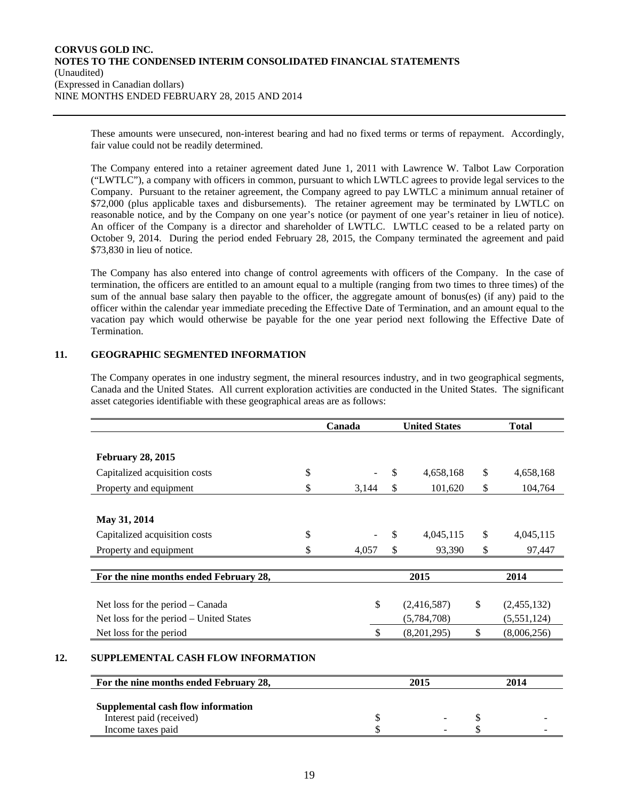These amounts were unsecured, non-interest bearing and had no fixed terms or terms of repayment. Accordingly, fair value could not be readily determined.

The Company entered into a retainer agreement dated June 1, 2011 with Lawrence W. Talbot Law Corporation ("LWTLC"), a company with officers in common, pursuant to which LWTLC agrees to provide legal services to the Company. Pursuant to the retainer agreement, the Company agreed to pay LWTLC a minimum annual retainer of \$72,000 (plus applicable taxes and disbursements). The retainer agreement may be terminated by LWTLC on reasonable notice, and by the Company on one year's notice (or payment of one year's retainer in lieu of notice). An officer of the Company is a director and shareholder of LWTLC. LWTLC ceased to be a related party on October 9, 2014. During the period ended February 28, 2015, the Company terminated the agreement and paid \$73,830 in lieu of notice.

The Company has also entered into change of control agreements with officers of the Company. In the case of termination, the officers are entitled to an amount equal to a multiple (ranging from two times to three times) of the sum of the annual base salary then payable to the officer, the aggregate amount of bonus(es) (if any) paid to the officer within the calendar year immediate preceding the Effective Date of Termination, and an amount equal to the vacation pay which would otherwise be payable for the one year period next following the Effective Date of Termination.

## **11. GEOGRAPHIC SEGMENTED INFORMATION**

The Company operates in one industry segment, the mineral resources industry, and in two geographical segments, Canada and the United States. All current exploration activities are conducted in the United States. The significant asset categories identifiable with these geographical areas are as follows:

|                                         | Canada      |    | <b>United States</b> |    | <b>Total</b> |  |
|-----------------------------------------|-------------|----|----------------------|----|--------------|--|
|                                         |             |    |                      |    |              |  |
| <b>February 28, 2015</b>                |             |    |                      |    |              |  |
| Capitalized acquisition costs           | \$          | \$ | 4,658,168            | \$ | 4,658,168    |  |
| Property and equipment                  | \$<br>3,144 | \$ | 101,620              | \$ | 104,764      |  |
|                                         |             |    |                      |    |              |  |
| May 31, 2014                            |             |    |                      |    |              |  |
| Capitalized acquisition costs           | \$          | \$ | 4,045,115            | \$ | 4,045,115    |  |
| Property and equipment                  | \$<br>4,057 | \$ | 93,390               | \$ | 97,447       |  |
| For the nine months ended February 28,  |             |    | 2015                 |    | 2014         |  |
| Net loss for the period – Canada        | \$          |    | (2,416,587)          | \$ | (2,455,132)  |  |
| Net loss for the period – United States |             |    | (5,784,708)          |    | (5,551,124)  |  |
| Net loss for the period                 | \$          |    | (8,201,295)          | \$ | (8,006,256)  |  |

## **12. SUPPLEMENTAL CASH FLOW INFORMATION**

| For the nine months ended February 28, | 2015 |  | 2014 |  |  |
|----------------------------------------|------|--|------|--|--|
| Supplemental cash flow information     |      |  |      |  |  |
| Interest paid (received)               |      |  |      |  |  |
| Income taxes paid                      |      |  |      |  |  |